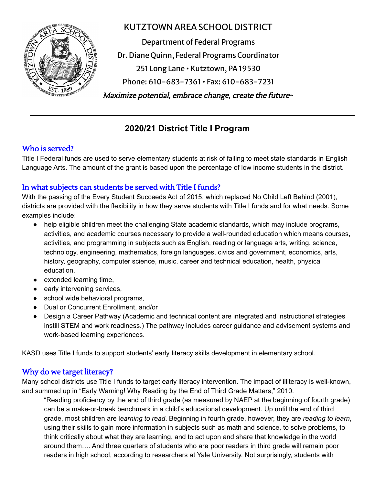

# KUTZTOWN AREASCHOOL DISTRICT

Department of Federal Programs Dr. Diane Quinn, Federal Programs Coordinator 251 Long Lane • Kutztown, PA19530 Phone: 610-683-7361 • Fax: 610-683-7231 **~** Maximize potential, embrace change, create the future**~**

# **2020/21 District Title I Program**

# Who is served?

Title I Federal funds are used to serve elementary students at risk of failing to meet state standards in English Language Arts. The amount of the grant is based upon the percentage of low income students in the district.

# In what subjects can students be served with Title I funds?

With the passing of the Every Student Succeeds Act of 2015, which replaced No Child Left Behind (2001), districts are provided with the flexibility in how they serve students with Title I funds and for what needs. Some examples include:

- help eligible children meet the challenging State academic standards, which may include programs, activities, and academic courses necessary to provide a well-rounded education which means courses, activities, and programming in subjects such as English, reading or language arts, writing, science, technology, engineering, mathematics, foreign languages, civics and government, economics, arts, history, geography, computer science, music, career and technical education, health, physical education,
- extended learning time,
- early intervening services,
- school wide behavioral programs,
- Dual or Concurrent Enrollment, and/or
- Design a Career Pathway (Academic and technical content are integrated and instructional strategies instill STEM and work readiness.) The pathway includes career guidance and advisement systems and work-based learning experiences.

KASD uses Title I funds to support students' early literacy skills development in elementary school.

### Why do we target literacy?

Many school districts use Title I funds to target early literacy intervention. The impact of illiteracy is well-known, and summed up in "Early Warning! Why Reading by the End of Third Grade Matters," 2010.

"Reading proficiency by the end of third grade (as measured by NAEP at the beginning of fourth grade) can be a make-or-break benchmark in a child's educational development. Up until the end of third grade, most children are l*earning to read*. Beginning in fourth grade, however, they are *reading to learn*, using their skills to gain more information in subjects such as math and science, to solve problems, to think critically about what they are learning, and to act upon and share that knowledge in the world around them…. And three quarters of students who are poor readers in third grade will remain poor readers in high school, according to researchers at Yale University. Not surprisingly, students with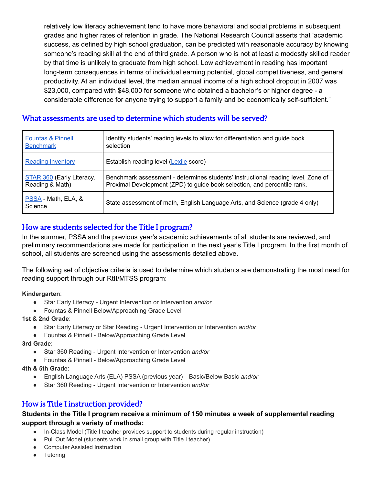relatively low literacy achievement tend to have more behavioral and social problems in subsequent grades and higher rates of retention in grade. The National Research Council asserts that 'academic success, as defined by high school graduation, can be predicted with reasonable accuracy by knowing someone's reading skill at the end of third grade. A person who is not at least a modestly skilled reader by that time is unlikely to graduate from high school. Low achievement in reading has important long-term consequences in terms of individual earning potential, global competitiveness, and general productivity. At an individual level, the median annual income of a high school dropout in 2007 was \$23,000, compared with \$48,000 for someone who obtained a bachelor's or higher degree - a considerable difference for anyone trying to support a family and be economically self-sufficient."

### What assessments are used to determine which students will be served?

| <b>Fountas &amp; Pinnell</b>   | Identify students' reading levels to allow for differentiation and guide book    |
|--------------------------------|----------------------------------------------------------------------------------|
| <b>Benchmark</b>               | selection                                                                        |
| <b>Reading Inventory</b>       | Establish reading level (Lexile score)                                           |
| STAR 360 (Early Literacy,      | Benchmark assessment - determines students' instructional reading level, Zone of |
| Reading & Math)                | Proximal Development (ZPD) to guide book selection, and percentile rank.         |
| PSSA - Math, ELA, &<br>Science | State assessment of math, English Language Arts, and Science (grade 4 only)      |

# How are students selected for the Title I program?

In the summer, PSSA and the previous year's academic achievements of all students are reviewed, and preliminary recommendations are made for participation in the next year's Title I program. In the first month of school, all students are screened using the assessments detailed above.

The following set of objective criteria is used to determine which students are demonstrating the most need for reading support through our RtII/MTSS program:

**Kindergarten**:

- Star Early Literacy Urgent Intervention or Intervention *and/or*
- Fountas & Pinnell Below/Approaching Grade Level

#### **1st & 2nd Grade**:

- Star Early Literacy or Star Reading Urgent Intervention or Intervention *and/or*
- Fountas & Pinnell Below/Approaching Grade Level

#### **3rd Grade**:

- Star 360 Reading Urgent Intervention or Intervention *and/or*
- Fountas & Pinnell Below/Approaching Grade Level
- **4th & 5th Grade**:
	- English Language Arts (ELA) PSSA (previous year) Basic/Below Basic *and/or*
	- Star 360 Reading Urgent Intervention or Intervention *and/or*

### How is Title I instruction provided?

#### **Students in the Title I program receive a minimum of 150 minutes a week of supplemental reading support through a variety of methods:**

- In-Class Model (Title I teacher provides support to students during regular instruction)
- Pull Out Model (students work in small group with Title I teacher)
- **Computer Assisted Instruction**
- **Tutoring**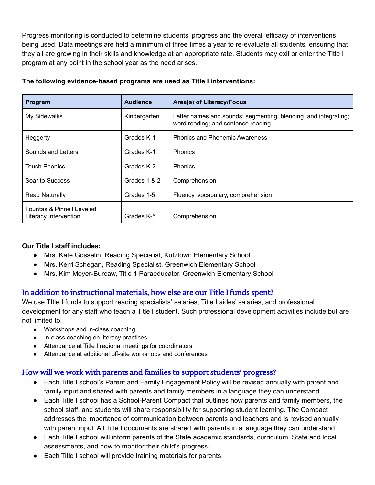Progress monitoring is conducted to determine students' progress and the overall efficacy of interventions being used. Data meetings are held a minimum of three times a year to re-evaluate all students, ensuring that they all are growing in their skills and knowledge at an appropriate rate. Students may exit or enter the Title I program at any point in the school year as the need arises.

| Program                                            | <b>Audience</b> | Area(s) of Literacy/Focus                                                                             |
|----------------------------------------------------|-----------------|-------------------------------------------------------------------------------------------------------|
| My Sidewalks                                       | Kindergarten    | Letter names and sounds; segmenting, blending, and integrating;<br>word reading; and sentence reading |
| Heggerty                                           | Grades K-1      | <b>Phonics and Phonemic Awareness</b>                                                                 |
| Sounds and Letters                                 | Grades K-1      | <b>Phonics</b>                                                                                        |
| <b>Touch Phonics</b>                               | Grades K-2      | <b>Phonics</b>                                                                                        |
| Soar to Success                                    | Grades 1 & 2    | Comprehension                                                                                         |
| <b>Read Naturally</b>                              | Grades 1-5      | Fluency, vocabulary, comprehension                                                                    |
| Fountas & Pinnell Leveled<br>Literacy Intervention | Grades K-5      | Comprehension                                                                                         |

#### **The following evidence-based programs are used as Title I interventions:**

#### **Our Title I staff includes:**

- Mrs. Kate Gosselin, Reading Specialist, Kutztown Elementary School
- Mrs. Kerri Schegan, Reading Specialist, Greenwich Elementary School
- Mrs. Kim Moyer-Burcaw, Title 1 Paraeducator, Greenwich Elementary School

### In addition to instructional materials, how else are our Title I funds spent?

We use Title I funds to support reading specialists' salaries, Title I aides' salaries, and professional development for any staff who teach a Title I student. Such professional development activities include but are not limited to:

- Workshops and in-class coaching
- In-class coaching on literacy practices
- Attendance at Title I regional meetings for coordinators
- Attendance at additional off-site workshops and conferences

### How will we work with parents and families to support students' progress?

- Each Title I school's Parent and Family Engagement Policy will be revised annually with parent and family input and shared with parents and family members in a language they can understand.
- Each Title I school has a School-Parent Compact that outlines how parents and family members, the school staff, and students will share responsibility for supporting student learning. The Compact addresses the importance of communication between parents and teachers and is revised annually with parent input. All Title I documents are shared with parents in a language they can understand.
- Each Title I school will inform parents of the State academic standards, curriculum, State and local assessments, and how to monitor their child's progress.
- Each Title I school will provide training materials for parents.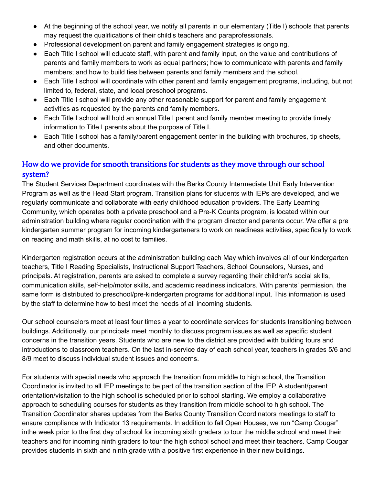- At the beginning of the school year, we notify all parents in our elementary (Title I) schools that parents may request the qualifications of their child's teachers and paraprofessionals.
- Professional development on parent and family engagement strategies is ongoing.
- Each Title I school will educate staff, with parent and family input, on the value and contributions of parents and family members to work as equal partners; how to communicate with parents and family members; and how to build ties between parents and family members and the school.
- Each Title I school will coordinate with other parent and family engagement programs, including, but not limited to, federal, state, and local preschool programs.
- Each Title I school will provide any other reasonable support for parent and family engagement activities as requested by the parents and family members.
- Each Title I school will hold an annual Title I parent and family member meeting to provide timely information to Title I parents about the purpose of Title I.
- Each Title I school has a family/parent engagement center in the building with brochures, tip sheets, and other documents.

## How do we provide for smooth transitions for students as they move through our school system?

The Student Services Department coordinates with the Berks County Intermediate Unit Early Intervention Program as well as the Head Start program. Transition plans for students with IEPs are developed, and we regularly communicate and collaborate with early childhood education providers. The Early Learning Community, which operates both a private preschool and a Pre-K Counts program, is located within our administration building where regular coordination with the program director and parents occur. We offer a pre kindergarten summer program for incoming kindergarteners to work on readiness activities, specifically to work on reading and math skills, at no cost to families.

Kindergarten registration occurs at the administration building each May which involves all of our kindergarten teachers, Title I Reading Specialists, Instructional Support Teachers, School Counselors, Nurses, and principals. At registration, parents are asked to complete a survey regarding their children's social skills, communication skills, self-help/motor skills, and academic readiness indicators. With parents' permission, the same form is distributed to preschool/pre-kindergarten programs for additional input. This information is used by the staff to determine how to best meet the needs of all incoming students.

Our school counselors meet at least four times a year to coordinate services for students transitioning between buildings. Additionally, our principals meet monthly to discuss program issues as well as specific student concerns in the transition years. Students who are new to the district are provided with building tours and introductions to classroom teachers. On the last in-service day of each school year, teachers in grades 5/6 and 8/9 meet to discuss individual student issues and concerns.

For students with special needs who approach the transition from middle to high school, the Transition Coordinator is invited to all IEP meetings to be part of the transition section of the IEP. A student/parent orientation/visitation to the high school is scheduled prior to school starting. We employ a collaborative approach to scheduling courses for students as they transition from middle school to high school. The Transition Coordinator shares updates from the Berks County Transition Coordinators meetings to staff to ensure compliance with Indicator 13 requirements. In addition to fall Open Houses, we run "Camp Cougar" inthe week prior to the first day of school for incoming sixth graders to tour the middle school and meet their teachers and for incoming ninth graders to tour the high school school and meet their teachers. Camp Cougar provides students in sixth and ninth grade with a positive first experience in their new buildings.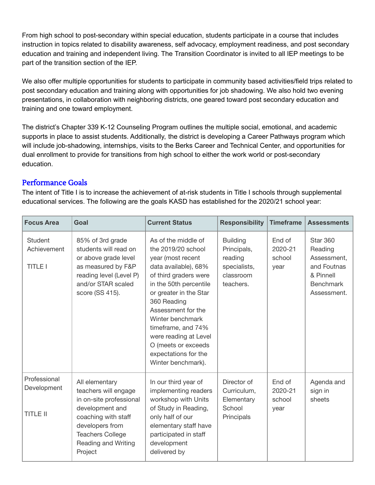From high school to post-secondary within special education, students participate in a course that includes instruction in topics related to disability awareness, self advocacy, employment readiness, and post secondary education and training and independent living. The Transition Coordinator is invited to all IEP meetings to be part of the transition section of the IEP.

We also offer multiple opportunities for students to participate in community based activities/field trips related to post secondary education and training along with opportunities for job shadowing. We also hold two evening presentations, in collaboration with neighboring districts, one geared toward post secondary education and training and one toward employment.

The district's Chapter 339 K-12 Counseling Program outlines the multiple social, emotional, and academic supports in place to assist students. Additionally, the district is developing a Career Pathways program which will include job-shadowing, internships, visits to the Berks Career and Technical Center, and opportunities for dual enrollment to provide for transitions from high school to either the work world or post-secondary education.

### Performance Goals

The intent of Title I is to increase the achievement of at-risk students in Title I schools through supplemental educational services. The following are the goals KASD has established for the 2020/21 school year:

| <b>Focus Area</b>                               | Goal                                                                                                                                                                                        | <b>Current Status</b>                                                                                                                                                                                                                                                                                                                            | <b>Responsibility</b>                                                               | <b>Timeframe</b>                    | <b>Assessments</b>                                                                                       |
|-------------------------------------------------|---------------------------------------------------------------------------------------------------------------------------------------------------------------------------------------------|--------------------------------------------------------------------------------------------------------------------------------------------------------------------------------------------------------------------------------------------------------------------------------------------------------------------------------------------------|-------------------------------------------------------------------------------------|-------------------------------------|----------------------------------------------------------------------------------------------------------|
| <b>Student</b><br>Achievement<br><b>TITLE I</b> | 85% of 3rd grade<br>students will read on<br>or above grade level<br>as measured by F&P<br>reading level (Level P)<br>and/or STAR scaled<br>score (SS 415).                                 | As of the middle of<br>the 2019/20 school<br>year (most recent<br>data available), 68%<br>of third graders were<br>in the 50th percentile<br>or greater in the Star<br>360 Reading<br>Assessment for the<br>Winter benchmark<br>timeframe, and 74%<br>were reading at Level<br>O (meets or exceeds<br>expectations for the<br>Winter benchmark). | <b>Building</b><br>Principals,<br>reading<br>specialists,<br>classroom<br>teachers. | End of<br>2020-21<br>school<br>year | <b>Star 360</b><br>Reading<br>Assessment,<br>and Foutnas<br>& Pinnell<br><b>Benchmark</b><br>Assessment. |
| Professional<br>Development<br><b>TITLE II</b>  | All elementary<br>teachers will engage<br>in on-site professional<br>development and<br>coaching with staff<br>developers from<br><b>Teachers College</b><br>Reading and Writing<br>Project | In our third year of<br>implementing readers<br>workshop with Units<br>of Study in Reading,<br>only half of our<br>elementary staff have<br>participated in staff<br>development<br>delivered by                                                                                                                                                 | Director of<br>Curriculum,<br>Elementary<br>School<br>Principals                    | End of<br>2020-21<br>school<br>year | Agenda and<br>sign in<br>sheets                                                                          |